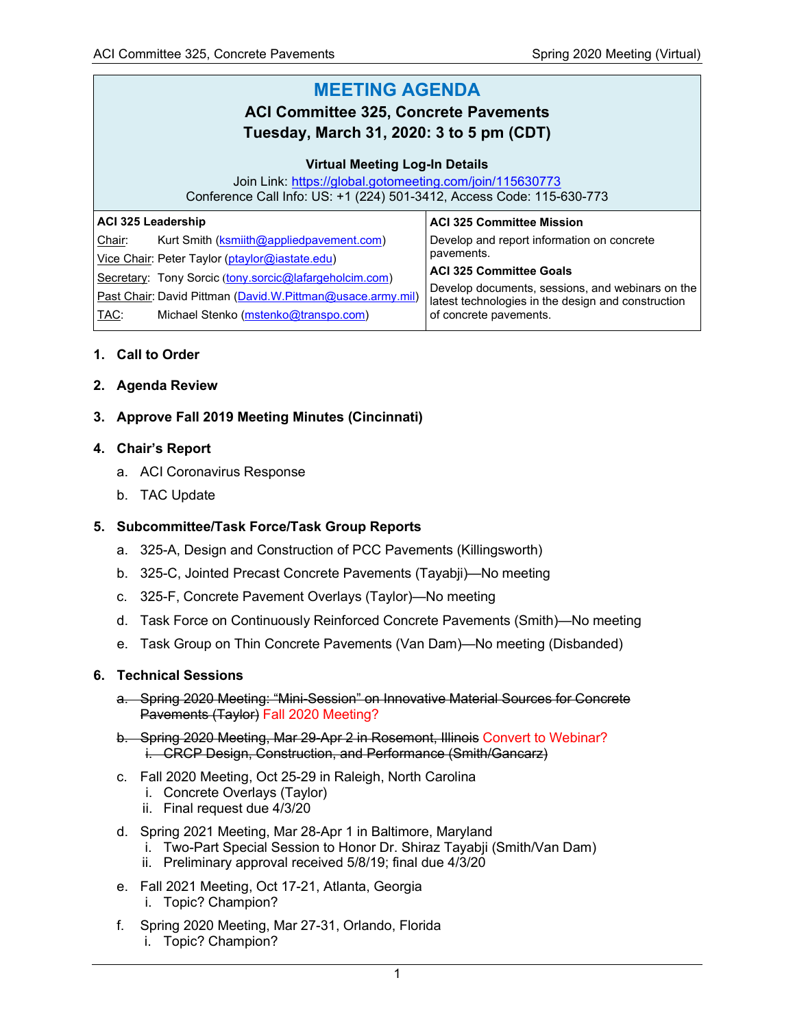#### **MEETING AGENDA ACI Committee 325, Concrete Pavements Tuesday, March 31, 2020: 3 to 5 pm (CDT) Virtual Meeting Log-In Details** Join Link:<https://global.gotomeeting.com/join/115630773> Conference Call Info: US: +1 (224) 501-3412, Access Code: 115-630-773 **ACI 325 Leadership** Chair: Kurt Smith [\(ksmiith@appliedpavement.com\)](mailto:ksmiith@appliedpavement.com) Vice Chair: Peter Taylor [\(ptaylor@iastate.edu\)](mailto:ptaylor@iastate.edu) Secretary: Tony Sorcic ([tony.sorcic@lafargeholcim.com\)](mailto:tony.sorcic@lafargeholcim.com) Past Chair: David Pittman [\(David.W.Pittman@usace.army.mil\)](mailto:David.W.Pittman@usace.army.mil) TAC: Michael Stenko [\(mstenko@transpo.com\)](mailto:mstenko@transpo.com) **ACI 325 Committee Mission** Develop and report information on concrete pavements. **ACI 325 Committee Goals** Develop documents, sessions, and webinars on the latest technologies in the design and construction of concrete pavements.

#### **1. Call to Order**

- **2. Agenda Review**
- **3. Approve Fall 2019 Meeting Minutes (Cincinnati)**

#### **4. Chair's Report**

- a. ACI Coronavirus Response
- b. TAC Update

### **5. Subcommittee/Task Force/Task Group Reports**

- a. 325-A, Design and Construction of PCC Pavements (Killingsworth)
- b. 325-C, Jointed Precast Concrete Pavements (Tayabji)—No meeting
- c. 325-F, Concrete Pavement Overlays (Taylor)—No meeting
- d. Task Force on Continuously Reinforced Concrete Pavements (Smith)—No meeting
- e. Task Group on Thin Concrete Pavements (Van Dam)—No meeting (Disbanded)

#### **6. Technical Sessions**

- a. Spring 2020 Meeting: "Mini-Session" on Innovative Material Sources for Concrete Pavements (Taylor) Fall 2020 Meeting?
- b. Spring 2020 Meeting, Mar 29-Apr 2 in Rosemont, Illinois Convert to Webinar? i. CRCP Design, Construction, and Performance (Smith/Gancarz)
- c. Fall 2020 Meeting, Oct 25-29 in Raleigh, North Carolina
	- i. Concrete Overlays (Taylor)
	- ii. Final request due 4/3/20
- d. Spring 2021 Meeting, Mar 28-Apr 1 in Baltimore, Maryland
	- i. Two-Part Special Session to Honor Dr. Shiraz Tayabji (Smith/Van Dam)
	- ii. Preliminary approval received 5/8/19; final due 4/3/20
- e. Fall 2021 Meeting, Oct 17-21, Atlanta, Georgia
	- i. Topic? Champion?
- f. Spring 2020 Meeting, Mar 27-31, Orlando, Florida i. Topic? Champion?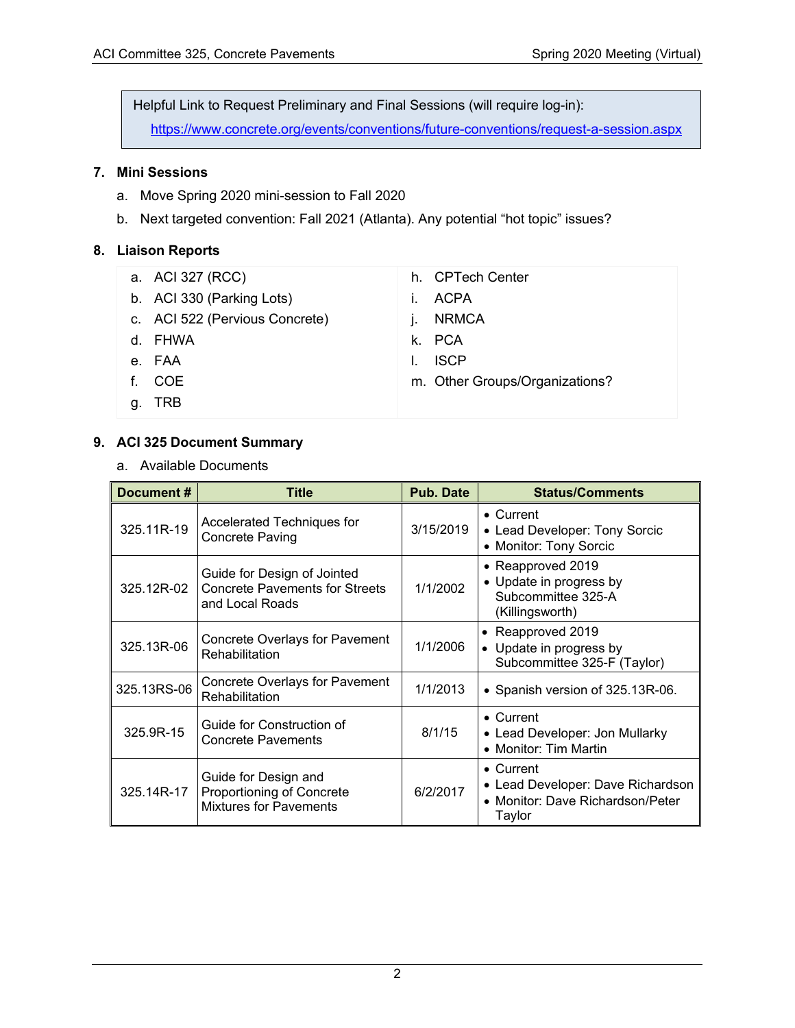Helpful Link to Request Preliminary and Final Sessions (will require log-in):

<https://www.concrete.org/events/conventions/future-conventions/request-a-session.aspx>

# **7. Mini Sessions**

- a. Move Spring 2020 mini-session to Fall 2020
- b. Next targeted convention: Fall 2021 (Atlanta). Any potential "hot topic" issues?

## **8. Liaison Reports**

- a. ACI 327 (RCC)
- b. ACI 330 (Parking Lots)
- c. ACI 522 (Pervious Concrete)
- d. FHWA
- e. FAA
- f. COE
- g. TRB
- h. CPTech Center
- i. ACPA
- j. NRMCA
- k. PCA
- l. ISCP
- m. Other Groups/Organizations?

## **9. ACI 325 Document Summary**

a. Available Documents

| Document#   | <b>Title</b>                                                                            | <b>Pub. Date</b> | <b>Status/Comments</b>                                                                               |
|-------------|-----------------------------------------------------------------------------------------|------------------|------------------------------------------------------------------------------------------------------|
| 325.11R-19  | Accelerated Techniques for<br><b>Concrete Paving</b>                                    | 3/15/2019        | $\bullet$ Current<br>• Lead Developer: Tony Sorcic<br>• Monitor: Tony Sorcic                         |
| 325.12R-02  | Guide for Design of Jointed<br><b>Concrete Pavements for Streets</b><br>and Local Roads | 1/1/2002         | • Reapproved 2019<br>• Update in progress by<br>Subcommittee 325-A<br>(Killingsworth)                |
| 325.13R-06  | <b>Concrete Overlays for Pavement</b><br>Rehabilitation                                 | 1/1/2006         | • Reapproved 2019<br>• Update in progress by<br>Subcommittee 325-F (Taylor)                          |
| 325.13RS-06 | <b>Concrete Overlays for Pavement</b><br>Rehabilitation                                 | 1/1/2013         | • Spanish version of 325.13R-06.                                                                     |
| 325.9R-15   | Guide for Construction of<br><b>Concrete Pavements</b>                                  | 8/1/15           | $\bullet$ Current<br>• Lead Developer: Jon Mullarky<br>• Monitor: Tim Martin                         |
| 325.14R-17  | Guide for Design and<br>Proportioning of Concrete<br><b>Mixtures for Pavements</b>      | 6/2/2017         | $\bullet$ Current<br>• Lead Developer: Dave Richardson<br>• Monitor: Dave Richardson/Peter<br>Taylor |